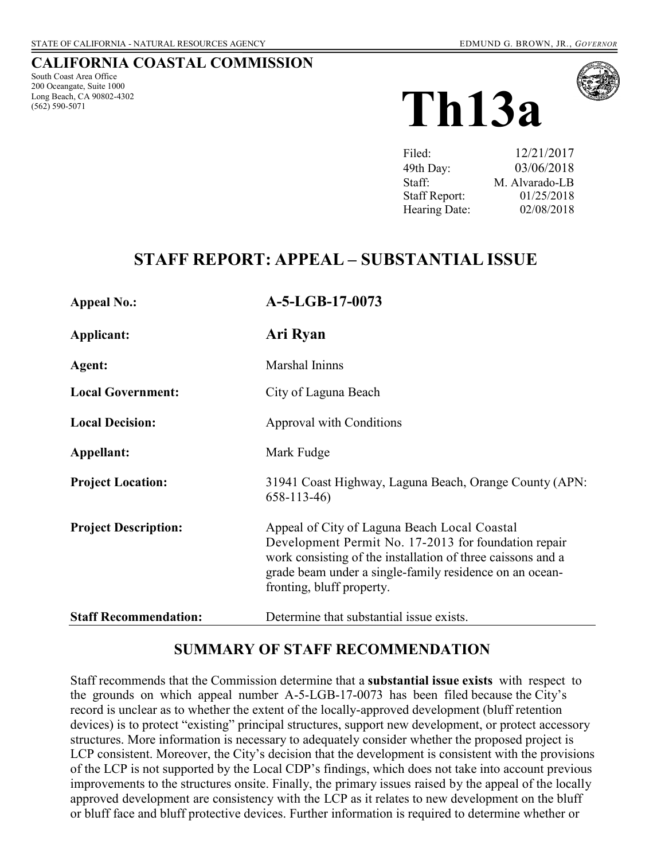### **CALIFORNIA COASTAL COMMISSION**

South Coast Area Office 200 Oceangate, Suite 1000 Long Beach, CA 90802-4302 (562) 590-5071





| 12/21/2017     |
|----------------|
| 03/06/2018     |
| M. Alvarado-LB |
| 01/25/2018     |
| 02/08/2018     |
|                |

## **STAFF REPORT: APPEAL – SUBSTANTIAL ISSUE**

| <b>Appeal No.:</b>           | A-5-LGB-17-0073                                                                                                                                                                                                                                             |
|------------------------------|-------------------------------------------------------------------------------------------------------------------------------------------------------------------------------------------------------------------------------------------------------------|
| Applicant:                   | Ari Ryan                                                                                                                                                                                                                                                    |
| Agent:                       | Marshal Ininns                                                                                                                                                                                                                                              |
| <b>Local Government:</b>     | City of Laguna Beach                                                                                                                                                                                                                                        |
| <b>Local Decision:</b>       | Approval with Conditions                                                                                                                                                                                                                                    |
| Appellant:                   | Mark Fudge                                                                                                                                                                                                                                                  |
| <b>Project Location:</b>     | 31941 Coast Highway, Laguna Beach, Orange County (APN:<br>$658 - 113 - 46$                                                                                                                                                                                  |
| <b>Project Description:</b>  | Appeal of City of Laguna Beach Local Coastal<br>Development Permit No. 17-2013 for foundation repair<br>work consisting of the installation of three caissons and a<br>grade beam under a single-family residence on an ocean-<br>fronting, bluff property. |
| <b>Staff Recommendation:</b> | Determine that substantial issue exists.                                                                                                                                                                                                                    |

## **SUMMARY OF STAFF RECOMMENDATION**

Staff recommends that the Commission determine that a **substantial issue exists** with respect to the grounds on which appeal number A-5-LGB-17-0073 has been filed because the City's record is unclear as to whether the extent of the locally-approved development (bluff retention devices) is to protect "existing" principal structures, support new development, or protect accessory structures. More information is necessary to adequately consider whether the proposed project is LCP consistent. Moreover, the City's decision that the development is consistent with the provisions of the LCP is not supported by the Local CDP's findings, which does not take into account previous improvements to the structures onsite. Finally, the primary issues raised by the appeal of the locally approved development are consistency with the LCP as it relates to new development on the bluff or bluff face and bluff protective devices. Further information is required to determine whether or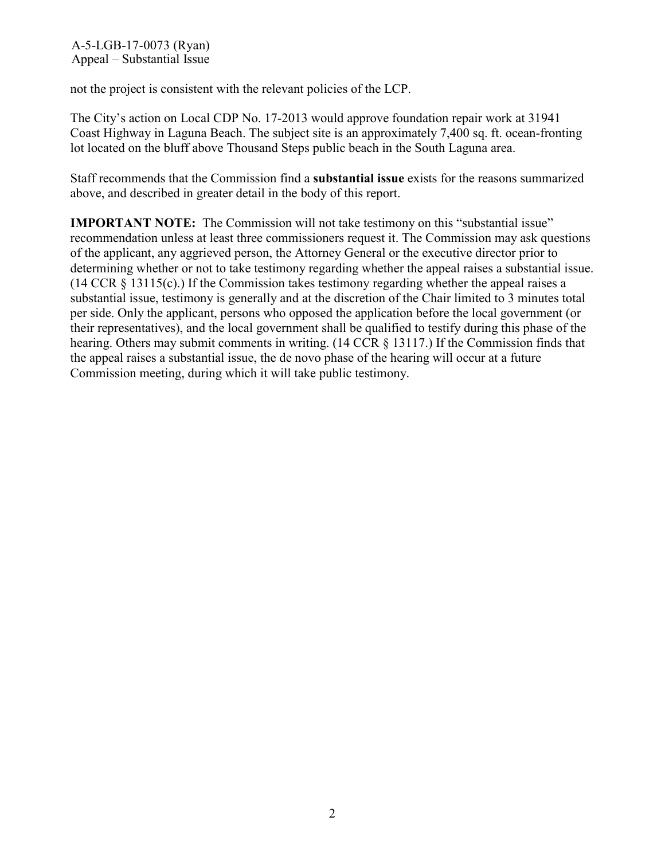not the project is consistent with the relevant policies of the LCP.

The City's action on Local CDP No. 17-2013 would approve foundation repair work at 31941 Coast Highway in Laguna Beach. The subject site is an approximately 7,400 sq. ft. ocean-fronting lot located on the bluff above Thousand Steps public beach in the South Laguna area.

Staff recommends that the Commission find a **substantial issue** exists for the reasons summarized above, and described in greater detail in the body of this report.

**IMPORTANT NOTE:** The Commission will not take testimony on this "substantial issue" recommendation unless at least three commissioners request it. The Commission may ask questions of the applicant, any aggrieved person, the Attorney General or the executive director prior to determining whether or not to take testimony regarding whether the appeal raises a substantial issue. (14 CCR § 13115(c).) If the Commission takes testimony regarding whether the appeal raises a substantial issue, testimony is generally and at the discretion of the Chair limited to 3 minutes total per side. Only the applicant, persons who opposed the application before the local government (or their representatives), and the local government shall be qualified to testify during this phase of the hearing. Others may submit comments in writing. (14 CCR § 13117.) If the Commission finds that the appeal raises a substantial issue, the de novo phase of the hearing will occur at a future Commission meeting, during which it will take public testimony.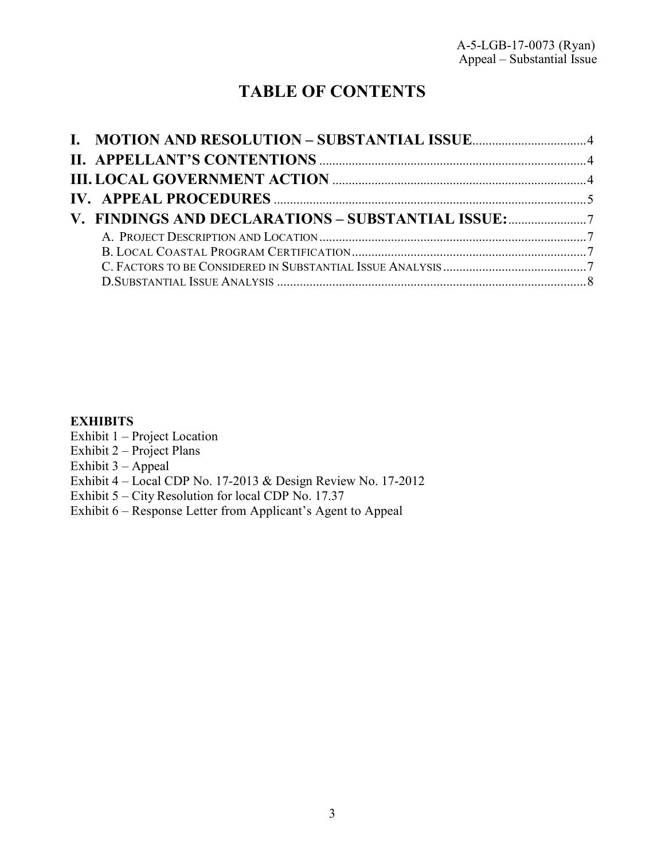# **TABLE OF CONTENTS**

## **EXHIBITS**

- Exhibit 1 Project Location
- Exhibit  $2$  Project Plans
- Exhibit 3 Appeal
- Exhibit 4 [Local CDP No. 17-2013 & Design Review No. 17-2012](https://documents.coastal.ca.gov/reports/2018/2/th13a/th13a-2-2018-exhibits.pdf)
- Exhibit 5 City Resolution for local CDP No. 17.37
- Exhibit 6 Response Letter from Applicant's Agent to Appeal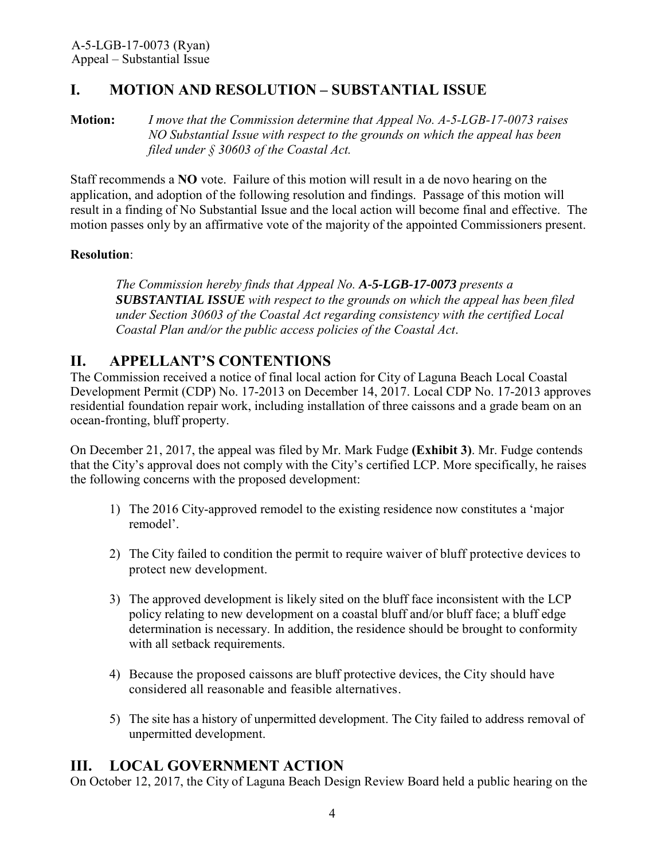## <span id="page-3-0"></span>**I. MOTION AND RESOLUTION – SUBSTANTIAL ISSUE**

**Motion:** *I move that the Commission determine that Appeal No. A-5-LGB-17-0073 raises NO Substantial Issue with respect to the grounds on which the appeal has been filed under § 30603 of the Coastal Act.*

Staff recommends a **NO** vote. Failure of this motion will result in a de novo hearing on the application, and adoption of the following resolution and findings. Passage of this motion will result in a finding of No Substantial Issue and the local action will become final and effective. The motion passes only by an affirmative vote of the majority of the appointed Commissioners present.

#### **Resolution**:

*The Commission hereby finds that Appeal No. A-5-LGB-17-0073 presents a SUBSTANTIAL ISSUE with respect to the grounds on which the appeal has been filed under Section 30603 of the Coastal Act regarding consistency with the certified Local Coastal Plan and/or the public access policies of the Coastal Act*.

## <span id="page-3-1"></span>**II. APPELLANT'S CONTENTIONS**

The Commission received a notice of final local action for City of Laguna Beach Local Coastal Development Permit (CDP) No. 17-2013 on December 14, 2017. Local CDP No. 17-2013 approves residential foundation repair work, including installation of three caissons and a grade beam on an ocean-fronting, bluff property.

On December 21, 2017, the appeal was filed by Mr. Mark Fudge **[\(Exhibit 3\)](https://documents.coastal.ca.gov/reports/2018/2/th13a/th13a-2-2018-exhibits.pdf)**. Mr. Fudge contends that the City's approval does not comply with the City's certified LCP. More specifically, he raises the following concerns with the proposed development:

- 1) The 2016 City-approved remodel to the existing residence now constitutes a 'major remodel'.
- 2) The City failed to condition the permit to require waiver of bluff protective devices to protect new development.
- 3) The approved development is likely sited on the bluff face inconsistent with the LCP policy relating to new development on a coastal bluff and/or bluff face; a bluff edge determination is necessary. In addition, the residence should be brought to conformity with all setback requirements.
- 4) Because the proposed caissons are bluff protective devices, the City should have considered all reasonable and feasible alternatives.
- 5) The site has a history of unpermitted development. The City failed to address removal of unpermitted development.

## <span id="page-3-2"></span>**III. LOCAL GOVERNMENT ACTION**

On October 12, 2017, the City of Laguna Beach Design Review Board held a public hearing on the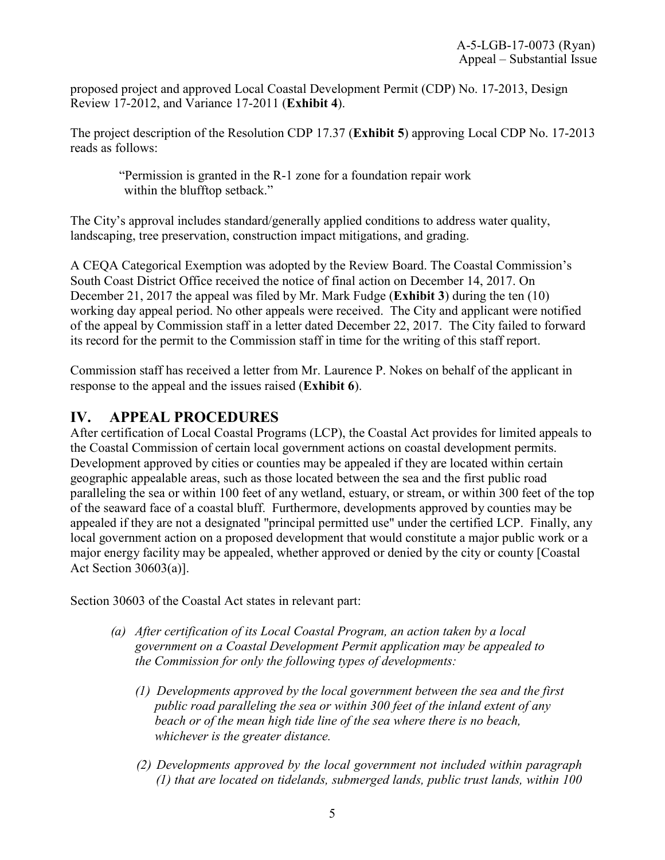proposed project and approved Local Coastal Development Permit (CDP) No. 17-2013, Design Review 17-2012, and Variance 17-2011 (**[Exhibit 4](https://documents.coastal.ca.gov/reports/2018/2/th13a/th13a-2-2018-exhibits.pdf)**).

The project description of the Resolution CDP 17.37 (**[Exhibit 5](https://documents.coastal.ca.gov/reports/2018/2/th13a/th13a-2-2018-exhibits.pdf)**) approving Local CDP No. 17-2013 reads as follows:

"Permission is granted in the R-1 zone for a foundation repair work within the blufftop setback."

The City's approval includes standard/generally applied conditions to address water quality, landscaping, tree preservation, construction impact mitigations, and grading.

A CEQA Categorical Exemption was adopted by the Review Board. The Coastal Commission's South Coast District Office received the notice of final action on December 14, 2017. On December 21, 2017 the appeal was filed by Mr. Mark Fudge (**[Exhibit 3](https://documents.coastal.ca.gov/reports/2018/2/th13a/th13a-2-2018-exhibits.pdf)**) during the ten (10) working day appeal period. No other appeals were received. The City and applicant were notified of the appeal by Commission staff in a letter dated December 22, 2017. The City failed to forward its record for the permit to the Commission staff in time for the writing of this staff report.

Commission staff has received a letter from Mr. Laurence P. Nokes on behalf of the applicant in response to the appeal and the issues raised (**[Exhibit 6](https://documents.coastal.ca.gov/reports/2018/2/th13a/th13a-2-2018-exhibits.pdf)**).

## <span id="page-4-0"></span>**IV. APPEAL PROCEDURES**

After certification of Local Coastal Programs (LCP), the Coastal Act provides for limited appeals to the Coastal Commission of certain local government actions on coastal development permits. Development approved by cities or counties may be appealed if they are located within certain geographic appealable areas, such as those located between the sea and the first public road paralleling the sea or within 100 feet of any wetland, estuary, or stream, or within 300 feet of the top of the seaward face of a coastal bluff. Furthermore, developments approved by counties may be appealed if they are not a designated "principal permitted use" under the certified LCP. Finally, any local government action on a proposed development that would constitute a major public work or a major energy facility may be appealed, whether approved or denied by the city or county [Coastal Act Section 30603(a)].

Section 30603 of the Coastal Act states in relevant part:

- *(a) After certification of its Local Coastal Program, an action taken by a local government on a Coastal Development Permit application may be appealed to the Commission for only the following types of developments:*
	- *(1) Developments approved by the local government between the sea and the first public road paralleling the sea or within 300 feet of the inland extent of any beach or of the mean high tide line of the sea where there is no beach, whichever is the greater distance.*
	- *(2) Developments approved by the local government not included within paragraph (1) that are located on tidelands, submerged lands, public trust lands, within 100*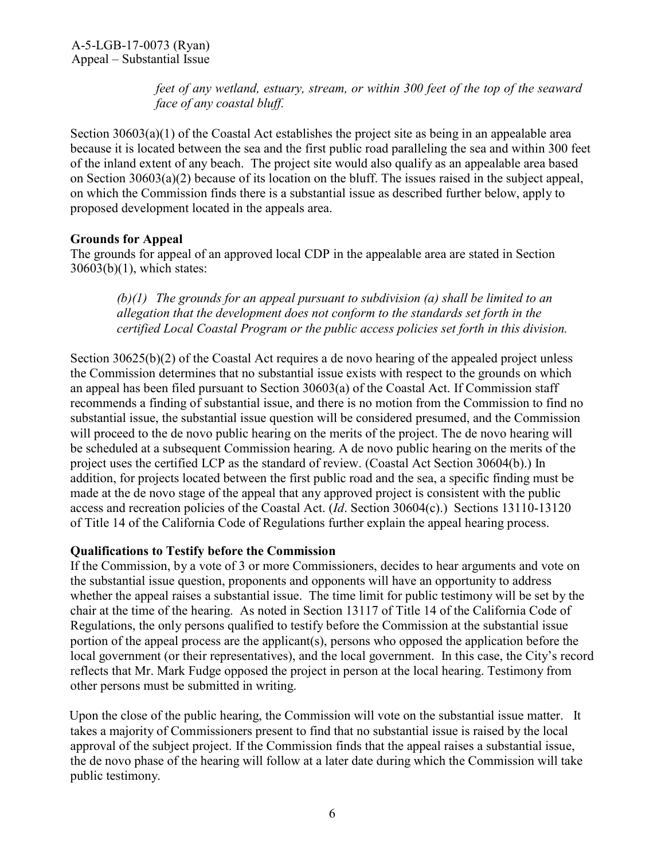*feet of any wetland, estuary, stream, or within 300 feet of the top of the seaward face of any coastal bluff.*

Section  $30603(a)(1)$  of the Coastal Act establishes the project site as being in an appealable area because it is located between the sea and the first public road paralleling the sea and within 300 feet of the inland extent of any beach. The project site would also qualify as an appealable area based on Section 30603(a)(2) because of its location on the bluff. The issues raised in the subject appeal, on which the Commission finds there is a substantial issue as described further below, apply to proposed development located in the appeals area.

#### **Grounds for Appeal**

The grounds for appeal of an approved local CDP in the appealable area are stated in Section 30603(b)(1), which states:

*(b)(1) The grounds for an appeal pursuant to subdivision (a) shall be limited to an allegation that the development does not conform to the standards set forth in the certified Local Coastal Program or the public access policies set forth in this division.*

Section 30625(b)(2) of the Coastal Act requires a de novo hearing of the appealed project unless the Commission determines that no substantial issue exists with respect to the grounds on which an appeal has been filed pursuant to Section 30603(a) of the Coastal Act. If Commission staff recommends a finding of substantial issue, and there is no motion from the Commission to find no substantial issue, the substantial issue question will be considered presumed, and the Commission will proceed to the de novo public hearing on the merits of the project. The de novo hearing will be scheduled at a subsequent Commission hearing. A de novo public hearing on the merits of the project uses the certified LCP as the standard of review. (Coastal Act Section 30604(b).) In addition, for projects located between the first public road and the sea, a specific finding must be made at the de novo stage of the appeal that any approved project is consistent with the public access and recreation policies of the Coastal Act. (*Id*. Section 30604(c).) Sections 13110-13120 of Title 14 of the California Code of Regulations further explain the appeal hearing process.

#### **Qualifications to Testify before the Commission**

If the Commission, by a vote of 3 or more Commissioners, decides to hear arguments and vote on the substantial issue question, proponents and opponents will have an opportunity to address whether the appeal raises a substantial issue. The time limit for public testimony will be set by the chair at the time of the hearing. As noted in Section 13117 of Title 14 of the California Code of Regulations, the only persons qualified to testify before the Commission at the substantial issue portion of the appeal process are the applicant(s), persons who opposed the application before the local government (or their representatives), and the local government. In this case, the City's record reflects that Mr. Mark Fudge opposed the project in person at the local hearing. Testimony from other persons must be submitted in writing.

Upon the close of the public hearing, the Commission will vote on the substantial issue matter. It takes a majority of Commissioners present to find that no substantial issue is raised by the local approval of the subject project. If the Commission finds that the appeal raises a substantial issue, the de novo phase of the hearing will follow at a later date during which the Commission will take public testimony.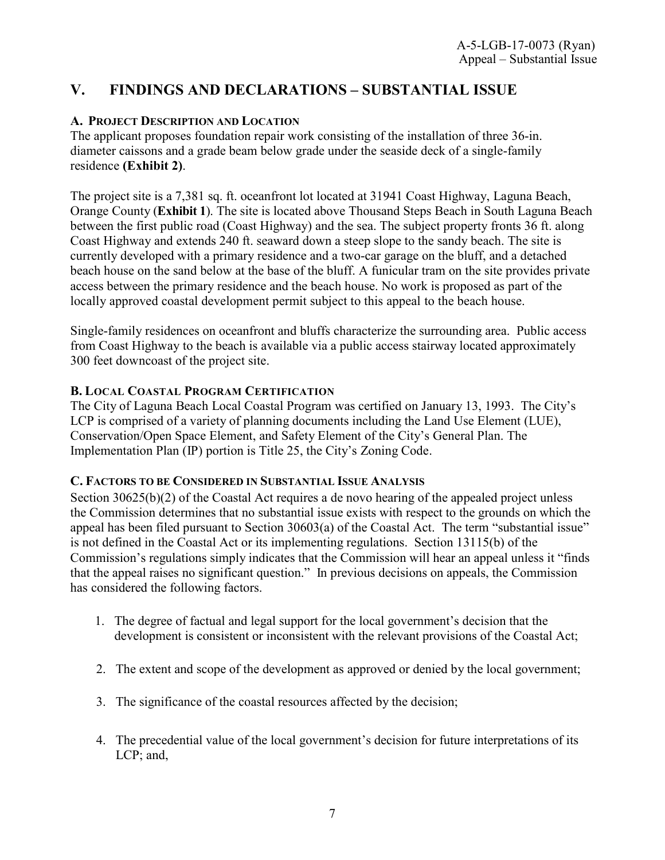## <span id="page-6-0"></span>**V. FINDINGS AND DECLARATIONS – SUBSTANTIAL ISSUE**

### <span id="page-6-1"></span>**A. PROJECT DESCRIPTION AND LOCATION**

The applicant proposes foundation repair work consisting of the installation of three 36-in. diameter caissons and a grade beam below grade under the seaside deck of a single-family residence **[\(Exhibit 2\)](https://documents.coastal.ca.gov/reports/2018/2/th13a/th13a-2-2018-exhibits.pdf)**.

The project site is a 7,381 sq. ft. oceanfront lot located at 31941 Coast Highway, Laguna Beach, Orange County (**[Exhibit 1](https://documents.coastal.ca.gov/reports/2018/2/th13a/th13a-2-2018-exhibits.pdf)**). The site is located above Thousand Steps Beach in South Laguna Beach between the first public road (Coast Highway) and the sea. The subject property fronts 36 ft. along Coast Highway and extends 240 ft. seaward down a steep slope to the sandy beach. The site is currently developed with a primary residence and a two-car garage on the bluff, and a detached beach house on the sand below at the base of the bluff. A funicular tram on the site provides private access between the primary residence and the beach house. No work is proposed as part of the locally approved coastal development permit subject to this appeal to the beach house.

Single-family residences on oceanfront and bluffs characterize the surrounding area. Public access from Coast Highway to the beach is available via a public access stairway located approximately 300 feet downcoast of the project site.

#### <span id="page-6-2"></span>**B. LOCAL COASTAL PROGRAM CERTIFICATION**

The City of Laguna Beach Local Coastal Program was certified on January 13, 1993. The City's LCP is comprised of a variety of planning documents including the Land Use Element (LUE), Conservation/Open Space Element, and Safety Element of the City's General Plan. The Implementation Plan (IP) portion is Title 25, the City's Zoning Code.

#### <span id="page-6-3"></span>**C. FACTORS TO BE CONSIDERED IN SUBSTANTIAL ISSUE ANALYSIS**

Section 30625(b)(2) of the Coastal Act requires a de novo hearing of the appealed project unless the Commission determines that no substantial issue exists with respect to the grounds on which the appeal has been filed pursuant to Section 30603(a) of the Coastal Act. The term "substantial issue" is not defined in the Coastal Act or its implementing regulations. Section 13115(b) of the Commission's regulations simply indicates that the Commission will hear an appeal unless it "finds that the appeal raises no significant question." In previous decisions on appeals, the Commission has considered the following factors.

- 1. The degree of factual and legal support for the local government's decision that the development is consistent or inconsistent with the relevant provisions of the Coastal Act;
- 2. The extent and scope of the development as approved or denied by the local government;
- 3. The significance of the coastal resources affected by the decision;
- 4. The precedential value of the local government's decision for future interpretations of its LCP; and,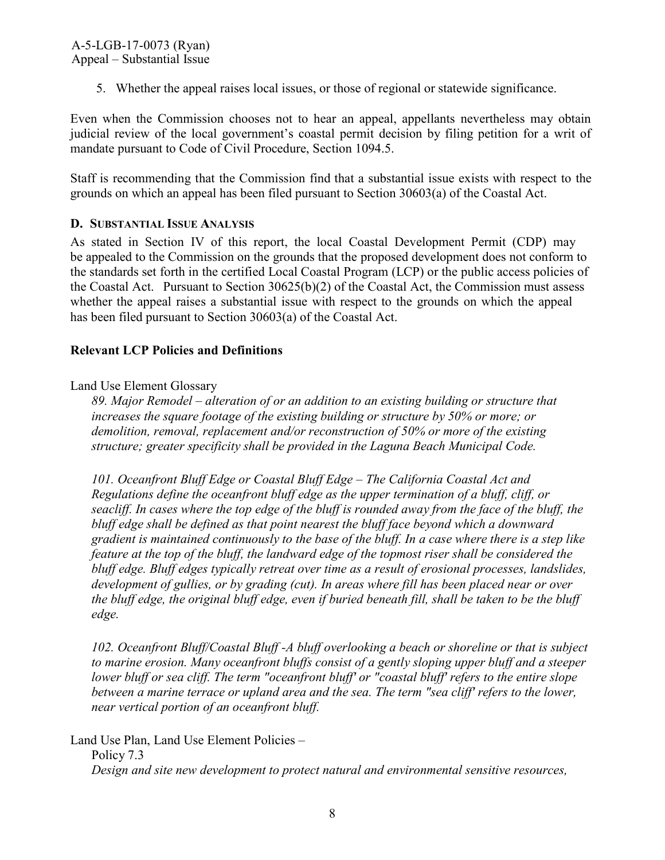5. Whether the appeal raises local issues, or those of regional or statewide significance.

Even when the Commission chooses not to hear an appeal, appellants nevertheless may obtain judicial review of the local government's coastal permit decision by filing petition for a writ of mandate pursuant to Code of Civil Procedure, Section 1094.5.

Staff is recommending that the Commission find that a substantial issue exists with respect to the grounds on which an appeal has been filed pursuant to Section 30603(a) of the Coastal Act.

## <span id="page-7-0"></span>**D. SUBSTANTIAL ISSUE ANALYSIS**

As stated in Section IV of this report, the local Coastal Development Permit (CDP) may be appealed to the Commission on the grounds that the proposed development does not conform to the standards set forth in the certified Local Coastal Program (LCP) or the public access policies of the Coastal Act. Pursuant to Section 30625(b)(2) of the Coastal Act, the Commission must assess whether the appeal raises a substantial issue with respect to the grounds on which the appeal has been filed pursuant to Section 30603(a) of the Coastal Act.

### **Relevant LCP Policies and Definitions**

### Land Use Element Glossary

*89. Major Remodel – alteration of or an addition to an existing building or structure that increases the square footage of the existing building or structure by 50% or more; or demolition, removal, replacement and/or reconstruction of 50% or more of the existing structure; greater specificity shall be provided in the Laguna Beach Municipal Code.* 

*101. Oceanfront Bluff Edge or Coastal Bluff Edge – The California Coastal Act and Regulations define the oceanfront bluff edge as the upper termination of a bluff, cliff, or seacliff. In cases where the top edge of the bluff is rounded away from the face of the bluff, the bluff edge shall be defined as that point nearest the bluff face beyond which a downward gradient is maintained continuously to the base of the bluff. In a case where there is a step like feature at the top of the bluff, the landward edge of the topmost riser shall be considered the bluff edge. Bluff edges typically retreat over time as a result of erosional processes, landslides, development of gullies, or by grading (cut). In areas where fill has been placed near or over the bluff edge, the original bluff edge, even if buried beneath fill, shall be taken to be the bluff edge.* 

*102. Oceanfront Bluff/Coastal Bluff -A bluff overlooking a beach or shoreline or that is subject to marine erosion. Many oceanfront bluffs consist of a gently sloping upper bluff and a steeper lower bluff or sea cliff. The term "oceanfront bluff' or "coastal bluff' refers to the entire slope between a marine terrace or upland area and the sea. The term "sea cliff' refers to the lower, near vertical portion of an oceanfront bluff.* 

Land Use Plan, Land Use Element Policies – Policy 7.3 *Design and site new development to protect natural and environmental sensitive resources,*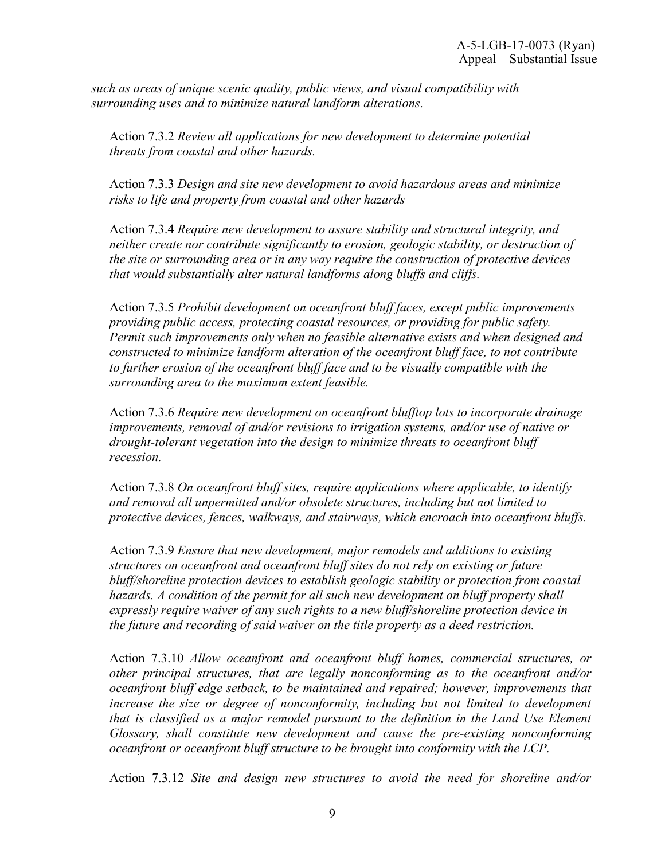*such as areas of unique scenic quality, public views, and visual compatibility with surrounding uses and to minimize natural landform alterations.*

Action 7.3.2 *Review all applications for new development to determine potential threats from coastal and other hazards.* 

Action 7.3.3 *Design and site new development to avoid hazardous areas and minimize risks to life and property from coastal and other hazards* 

Action 7.3.4 *Require new development to assure stability and structural integrity, and neither create nor contribute significantly to erosion, geologic stability, or destruction of the site or surrounding area or in any way require the construction of protective devices that would substantially alter natural landforms along bluffs and cliffs.* 

Action 7.3.5 *Prohibit development on oceanfront bluff faces, except public improvements providing public access, protecting coastal resources, or providing for public safety. Permit such improvements only when no feasible alternative exists and when designed and constructed to minimize landform alteration of the oceanfront bluff face, to not contribute to further erosion of the oceanfront bluff face and to be visually compatible with the surrounding area to the maximum extent feasible.* 

Action 7.3.6 *Require new development on oceanfront blufftop lots to incorporate drainage improvements, removal of and/or revisions to irrigation systems, and/or use of native or drought-tolerant vegetation into the design to minimize threats to oceanfront bluff recession.* 

Action 7.3.8 *On oceanfront bluff sites, require applications where applicable, to identify and removal all unpermitted and/or obsolete structures, including but not limited to protective devices, fences, walkways, and stairways, which encroach into oceanfront bluffs.* 

Action 7.3.9 *Ensure that new development, major remodels and additions to existing structures on oceanfront and oceanfront bluff sites do not rely on existing or future bluff/shoreline protection devices to establish geologic stability or protection from coastal hazards. A condition of the permit for all such new development on bluff property shall expressly require waiver of any such rights to a new bluff/shoreline protection device in the future and recording of said waiver on the title property as a deed restriction.* 

Action 7.3.10 *Allow oceanfront and oceanfront bluff homes, commercial structures, or other principal structures, that are legally nonconforming as to the oceanfront and/or oceanfront bluff edge setback, to be maintained and repaired; however, improvements that increase the size or degree of nonconformity, including but not limited to development that is classified as a major remodel pursuant to the definition in the Land Use Element Glossary, shall constitute new development and cause the pre-existing nonconforming oceanfront or oceanfront bluff structure to be brought into conformity with the LCP.* 

Action 7.3.12 *Site and design new structures to avoid the need for shoreline and/or*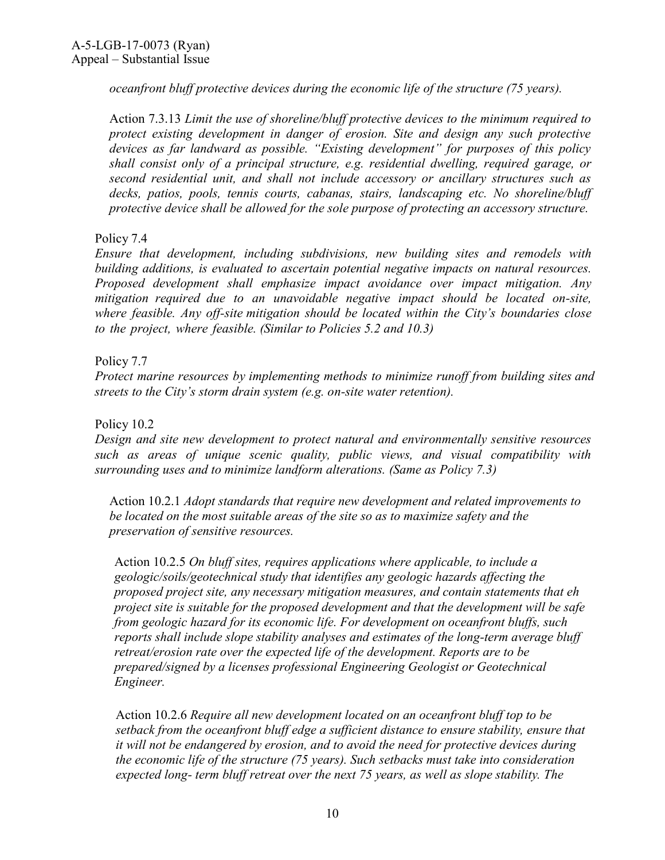*oceanfront bluff protective devices during the economic life of the structure (75 years).* 

Action 7.3.13 *Limit the use of shoreline/bluff protective devices to the minimum required to protect existing development in danger of erosion. Site and design any such protective devices as far landward as possible. "Existing development" for purposes of this policy shall consist only of a principal structure, e.g. residential dwelling, required garage, or second residential unit, and shall not include accessory or ancillary structures such as decks, patios, pools, tennis courts, cabanas, stairs, landscaping etc. No shoreline/bluff protective device shall be allowed for the sole purpose of protecting an accessory structure.* 

#### Policy 7.4

*Ensure that development, including subdivisions, new building sites and remodels with building additions, is evaluated to ascertain potential negative impacts on natural resources. Proposed development shall emphasize impact avoidance over impact mitigation. Any mitigation required due to an unavoidable negative impact should be located on-site, where feasible. Any off-site mitigation should be located within the City's boundaries close to the project, where feasible. (Similar to Policies 5.2 and 10.3)* 

#### Policy 7.7

*Protect marine resources by implementing methods to minimize runoff from building sites and streets to the City's storm drain system (e.g. on-site water retention).* 

#### Policy 10.2

*Design and site new development to protect natural and environmentally sensitive resources such as areas of unique scenic quality, public views, and visual compatibility with surrounding uses and to minimize landform alterations. (Same as Policy 7.3)* 

Action 10.2.1 *Adopt standards that require new development and related improvements to be located on the most suitable areas of the site so as to maximize safety and the preservation of sensitive resources.* 

Action 10.2.5 *On bluff sites, requires applications where applicable, to include a geologic/soils/geotechnical study that identifies any geologic hazards affecting the proposed project site, any necessary mitigation measures, and contain statements that eh project site is suitable for the proposed development and that the development will be safe from geologic hazard for its economic life. For development on oceanfront bluffs, such reports shall include slope stability analyses and estimates of the long-term average bluff retreat/erosion rate over the expected life of the development. Reports are to be prepared/signed by a licenses professional Engineering Geologist or Geotechnical Engineer.* 

Action 10.2.6 *Require all new development located on an oceanfront bluff top to be setback from the oceanfront bluff edge a sufficient distance to ensure stability, ensure that it will not be endangered by erosion, and to avoid the need for protective devices during the economic life of the structure (75 years). Such setbacks must take into consideration expected long- term bluff retreat over the next 75 years, as well as slope stability. The*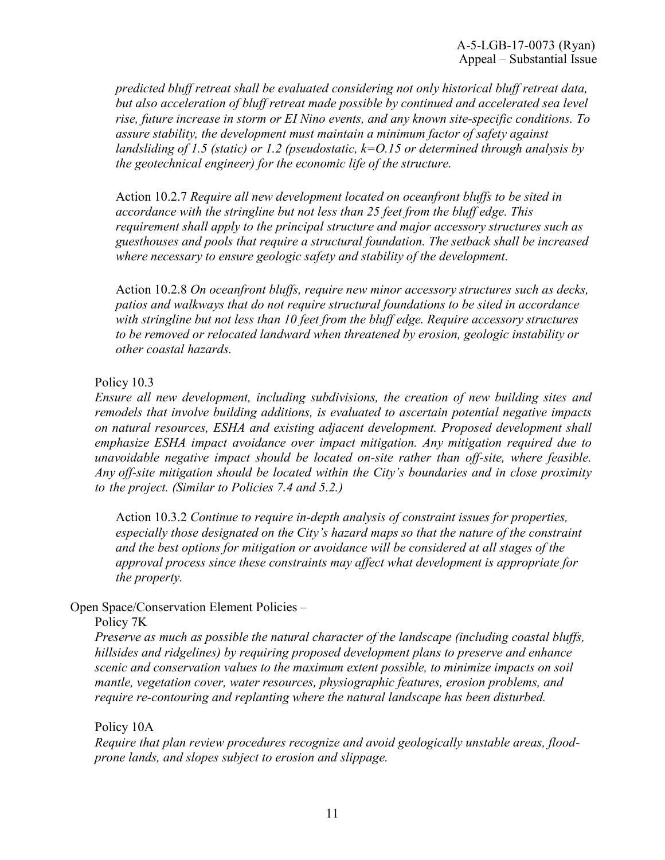*predicted bluff retreat shall be evaluated considering not only historical bluff retreat data, but also acceleration of bluff retreat made possible by continued and accelerated sea level rise, future increase in storm or EI Nino events, and any known site-specific conditions. To assure stability, the development must maintain a minimum factor of safety against landsliding of 1.5 (static) or 1.2 (pseudostatic, k=O.15 or determined through analysis by the geotechnical engineer) for the economic life of the structure.* 

Action 10.2.7 *Require all new development located on oceanfront bluffs to be sited in accordance with the stringline but not less than 25 feet from the bluff edge. This requirement shall apply to the principal structure and major accessory structures such as guesthouses and pools that require a structural foundation. The setback shall be increased where necessary to ensure geologic safety and stability of the development.* 

Action 10.2.8 *On oceanfront bluffs, require new minor accessory structures such as decks, patios and walkways that do not require structural foundations to be sited in accordance with stringline but not less than 10 feet from the bluff edge. Require accessory structures to be removed or relocated landward when threatened by erosion, geologic instability or other coastal hazards.* 

#### Policy 10.3

*Ensure all new development, including subdivisions, the creation of new building sites and remodels that involve building additions, is evaluated to ascertain potential negative impacts on natural resources, ESHA and existing adjacent development. Proposed development shall emphasize ESHA impact avoidance over impact mitigation. Any mitigation required due to unavoidable negative impact should be located on-site rather than off-site, where feasible. Any off-site mitigation should be located within the City's boundaries and in close proximity to the project. (Similar to Policies 7.4 and 5.2.)* 

Action 10.3.2 *Continue to require in-depth analysis of constraint issues for properties, especially those designated on the City's hazard maps so that the nature of the constraint and the best options for mitigation or avoidance will be considered at all stages of the approval process since these constraints may affect what development is appropriate for the property.* 

#### Open Space/Conservation Element Policies –

#### Policy 7K

*Preserve as much as possible the natural character of the landscape (including coastal bluffs, hillsides and ridgelines) by requiring proposed development plans to preserve and enhance scenic and conservation values to the maximum extent possible, to minimize impacts on soil mantle, vegetation cover, water resources, physiographic features, erosion problems, and require re-contouring and replanting where the natural landscape has been disturbed.* 

#### Policy 10A

*Require that plan review procedures recognize and avoid geologically unstable areas, floodprone lands, and slopes subject to erosion and slippage.*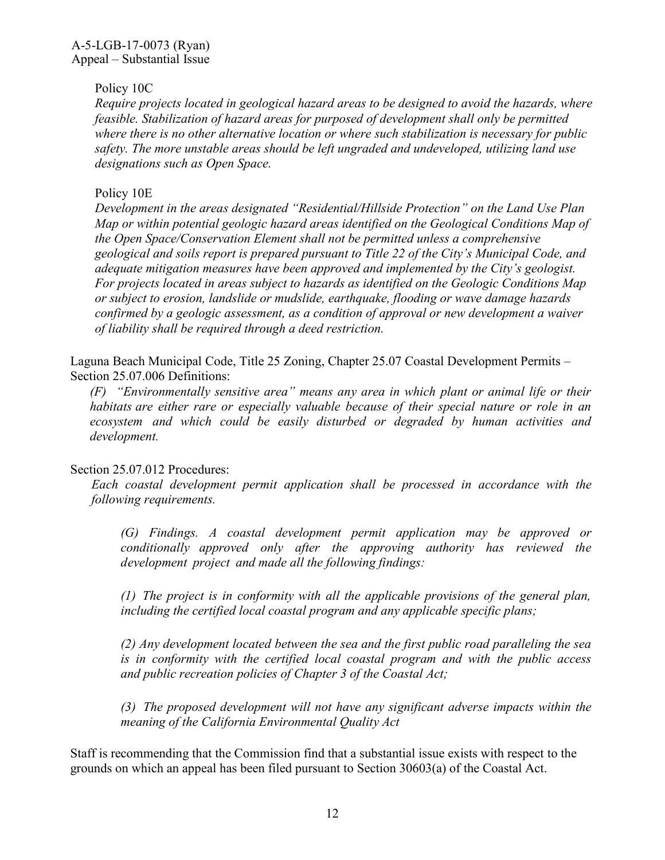#### Policy 10C

*Require projects located in geological hazard areas to be designed to avoid the hazards, where feasible. Stabilization of hazard areas for purposed of development shall only be permitted where there is no other alternative location or where such stabilization is necessary for public safety. The more unstable areas should be left ungraded and undeveloped, utilizing land use designations such as Open Space.* 

#### Policy 10E

*Development in the areas designated "Residential/Hillside Protection" on the Land Use Plan Map or within potential geologic hazard areas identified on the Geological Conditions Map of the Open Space/Conservation Element shall not be permitted unless a comprehensive geological and soils report is prepared pursuant to Title 22 of the City's Municipal Code, and adequate mitigation measures have been approved and implemented by the City's geologist. For projects located in areas subject to hazards as identified on the Geologic Conditions Map or subject to erosion, landslide or mudslide, earthquake, flooding or wave damage hazards confirmed by a geologic assessment, as a condition of approval or new development a waiver of liability shall be required through a deed restriction.* 

Laguna Beach Municipal Code, Title 25 Zoning, Chapter 25.07 Coastal Development Permits – Section 25.07.006 Definitions:

*(F) "Environmentally sensitive area" means any area in which plant or animal life or their habitats are either rare or especially valuable because of their special nature or role in an ecosystem and which could be easily disturbed or degraded by human activities and development.* 

#### Section 25.07.012 Procedures:

*Each coastal development permit application shall be processed in accordance with the following requirements.* 

*(G) Findings. A coastal development permit application may be approved or conditionally approved only after the approving authority has reviewed the development project and made all the following findings:*

*(1) The project is in conformity with all the applicable provisions of the general plan, including the certified local coastal program and any applicable specific plans;* 

*(2) Any development located between the sea and the first public road paralleling the sea is in conformity with the certified local coastal program and with the public access and public recreation policies of Chapter 3 of the Coastal Act;*

*(3) The proposed development will not have any significant adverse impacts within the meaning of the California Environmental Quality Act* 

Staff is recommending that the Commission find that a substantial issue exists with respect to the grounds on which an appeal has been filed pursuant to Section 30603(a) of the Coastal Act.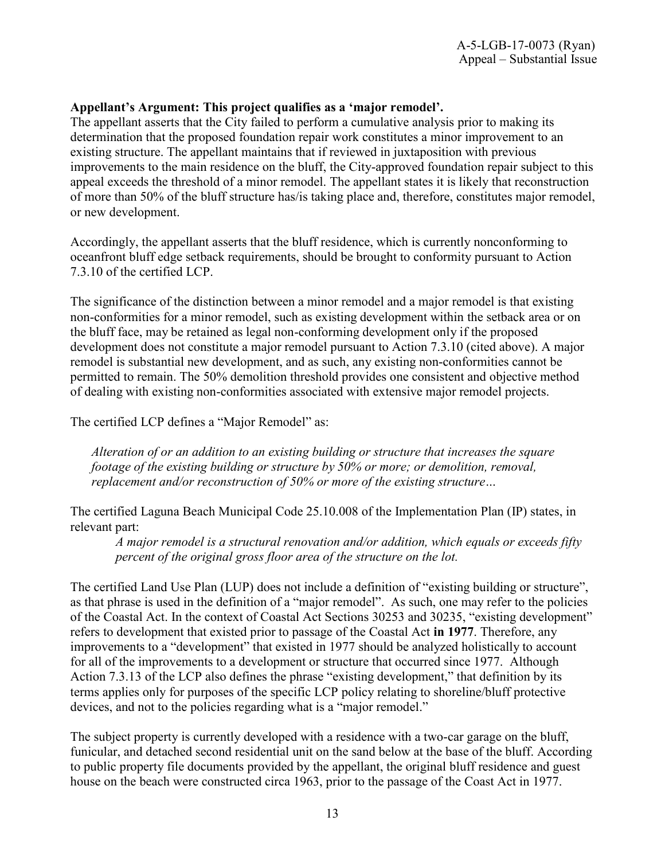### **Appellant's Argument: This project qualifies as a 'major remodel'.**

The appellant asserts that the City failed to perform a cumulative analysis prior to making its determination that the proposed foundation repair work constitutes a minor improvement to an existing structure. The appellant maintains that if reviewed in juxtaposition with previous improvements to the main residence on the bluff, the City-approved foundation repair subject to this appeal exceeds the threshold of a minor remodel. The appellant states it is likely that reconstruction of more than 50% of the bluff structure has/is taking place and, therefore, constitutes major remodel, or new development.

Accordingly, the appellant asserts that the bluff residence, which is currently nonconforming to oceanfront bluff edge setback requirements, should be brought to conformity pursuant to Action 7.3.10 of the certified LCP.

The significance of the distinction between a minor remodel and a major remodel is that existing non-conformities for a minor remodel, such as existing development within the setback area or on the bluff face, may be retained as legal non-conforming development only if the proposed development does not constitute a major remodel pursuant to Action 7.3.10 (cited above). A major remodel is substantial new development, and as such, any existing non-conformities cannot be permitted to remain. The 50% demolition threshold provides one consistent and objective method of dealing with existing non-conformities associated with extensive major remodel projects.

The certified LCP defines a "Major Remodel" as:

*Alteration of or an addition to an existing building or structure that increases the square footage of the existing building or structure by 50% or more; or demolition, removal, replacement and/or reconstruction of 50% or more of the existing structure…* 

The certified Laguna Beach Municipal Code 25.10.008 of the Implementation Plan (IP) states, in relevant part:

*A major remodel is a structural renovation and/or addition, which equals or exceeds fifty percent of the original gross floor area of the structure on the lot.*

The certified Land Use Plan (LUP) does not include a definition of "existing building or structure", as that phrase is used in the definition of a "major remodel". As such, one may refer to the policies of the Coastal Act. In the context of Coastal Act Sections 30253 and 30235, "existing development" refers to development that existed prior to passage of the Coastal Act **in 1977**. Therefore, any improvements to a "development" that existed in 1977 should be analyzed holistically to account for all of the improvements to a development or structure that occurred since 1977. Although Action 7.3.13 of the LCP also defines the phrase "existing development," that definition by its terms applies only for purposes of the specific LCP policy relating to shoreline/bluff protective devices, and not to the policies regarding what is a "major remodel."

The subject property is currently developed with a residence with a two-car garage on the bluff, funicular, and detached second residential unit on the sand below at the base of the bluff. According to public property file documents provided by the appellant, the original bluff residence and guest house on the beach were constructed circa 1963, prior to the passage of the Coast Act in 1977.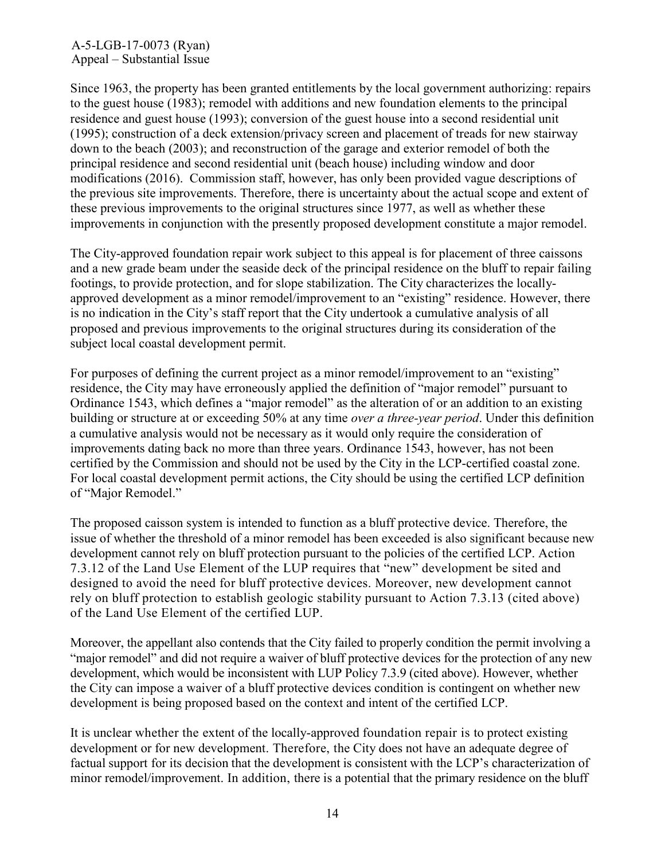Since 1963, the property has been granted entitlements by the local government authorizing: repairs to the guest house (1983); remodel with additions and new foundation elements to the principal residence and guest house (1993); conversion of the guest house into a second residential unit (1995); construction of a deck extension/privacy screen and placement of treads for new stairway down to the beach (2003); and reconstruction of the garage and exterior remodel of both the principal residence and second residential unit (beach house) including window and door modifications (2016). Commission staff, however, has only been provided vague descriptions of the previous site improvements. Therefore, there is uncertainty about the actual scope and extent of these previous improvements to the original structures since 1977, as well as whether these improvements in conjunction with the presently proposed development constitute a major remodel.

The City-approved foundation repair work subject to this appeal is for placement of three caissons and a new grade beam under the seaside deck of the principal residence on the bluff to repair failing footings, to provide protection, and for slope stabilization. The City characterizes the locallyapproved development as a minor remodel/improvement to an "existing" residence. However, there is no indication in the City's staff report that the City undertook a cumulative analysis of all proposed and previous improvements to the original structures during its consideration of the subject local coastal development permit.

For purposes of defining the current project as a minor remodel/improvement to an "existing" residence, the City may have erroneously applied the definition of "major remodel" pursuant to Ordinance 1543, which defines a "major remodel" as the alteration of or an addition to an existing building or structure at or exceeding 50% at any time *over a three-year period*. Under this definition a cumulative analysis would not be necessary as it would only require the consideration of improvements dating back no more than three years. Ordinance 1543, however, has not been certified by the Commission and should not be used by the City in the LCP-certified coastal zone. For local coastal development permit actions, the City should be using the certified LCP definition of "Major Remodel."

The proposed caisson system is intended to function as a bluff protective device. Therefore, the issue of whether the threshold of a minor remodel has been exceeded is also significant because new development cannot rely on bluff protection pursuant to the policies of the certified LCP. Action 7.3.12 of the Land Use Element of the LUP requires that "new" development be sited and designed to avoid the need for bluff protective devices. Moreover, new development cannot rely on bluff protection to establish geologic stability pursuant to Action 7.3.13 (cited above) of the Land Use Element of the certified LUP.

Moreover, the appellant also contends that the City failed to properly condition the permit involving a "major remodel" and did not require a waiver of bluff protective devices for the protection of any new development, which would be inconsistent with LUP Policy 7.3.9 (cited above). However, whether the City can impose a waiver of a bluff protective devices condition is contingent on whether new development is being proposed based on the context and intent of the certified LCP.

It is unclear whether the extent of the locally-approved foundation repair is to protect existing development or for new development. Therefore, the City does not have an adequate degree of factual support for its decision that the development is consistent with the LCP's characterization of minor remodel/improvement. In addition, there is a potential that the primary residence on the bluff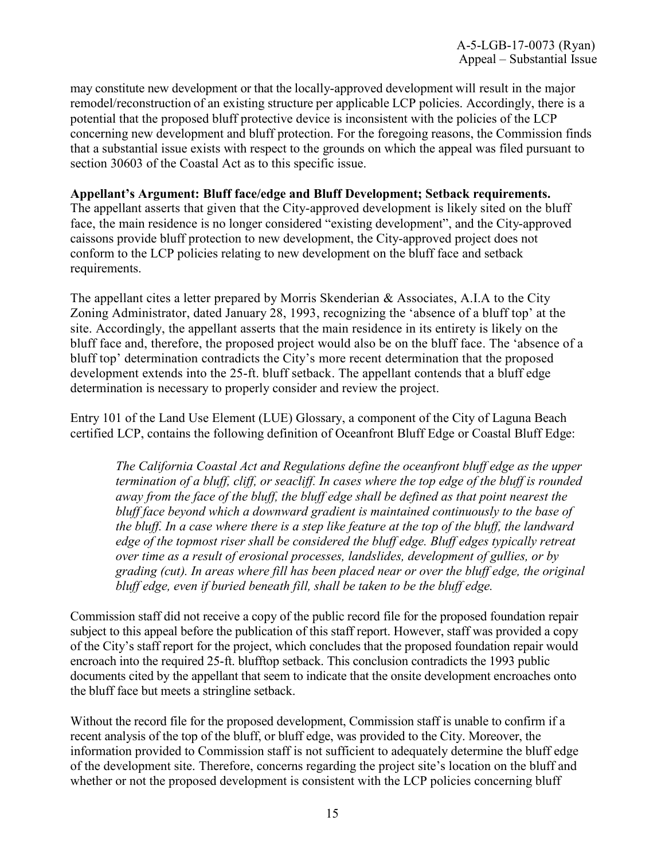may constitute new development or that the locally-approved development will result in the major remodel/reconstruction of an existing structure per applicable LCP policies. Accordingly, there is a potential that the proposed bluff protective device is inconsistent with the policies of the LCP concerning new development and bluff protection. For the foregoing reasons, the Commission finds that a substantial issue exists with respect to the grounds on which the appeal was filed pursuant to section 30603 of the Coastal Act as to this specific issue.

#### **Appellant's Argument: Bluff face/edge and Bluff Development; Setback requirements.**

The appellant asserts that given that the City-approved development is likely sited on the bluff face, the main residence is no longer considered "existing development", and the City-approved caissons provide bluff protection to new development, the City-approved project does not conform to the LCP policies relating to new development on the bluff face and setback requirements.

The appellant cites a letter prepared by Morris Skenderian & Associates, A.I.A to the City Zoning Administrator, dated January 28, 1993, recognizing the 'absence of a bluff top' at the site. Accordingly, the appellant asserts that the main residence in its entirety is likely on the bluff face and, therefore, the proposed project would also be on the bluff face. The 'absence of a bluff top' determination contradicts the City's more recent determination that the proposed development extends into the 25-ft. bluff setback. The appellant contends that a bluff edge determination is necessary to properly consider and review the project.

Entry 101 of the Land Use Element (LUE) Glossary, a component of the City of Laguna Beach certified LCP, contains the following definition of Oceanfront Bluff Edge or Coastal Bluff Edge:

*The California Coastal Act and Regulations define the oceanfront bluff edge as the upper termination of a bluff, cliff, or seacliff. In cases where the top edge of the bluff is rounded away from the face of the bluff, the bluff edge shall be defined as that point nearest the bluff face beyond which a downward gradient is maintained continuously to the base of the bluff. In a case where there is a step like feature at the top of the bluff, the landward edge of the topmost riser shall be considered the bluff edge. Bluff edges typically retreat over time as a result of erosional processes, landslides, development of gullies, or by grading (cut). In areas where fill has been placed near or over the bluff edge, the original bluff edge, even if buried beneath fill, shall be taken to be the bluff edge.*

Commission staff did not receive a copy of the public record file for the proposed foundation repair subject to this appeal before the publication of this staff report. However, staff was provided a copy of the City's staff report for the project, which concludes that the proposed foundation repair would encroach into the required 25-ft. blufftop setback. This conclusion contradicts the 1993 public documents cited by the appellant that seem to indicate that the onsite development encroaches onto the bluff face but meets a stringline setback.

Without the record file for the proposed development, Commission staff is unable to confirm if a recent analysis of the top of the bluff, or bluff edge, was provided to the City. Moreover, the information provided to Commission staff is not sufficient to adequately determine the bluff edge of the development site. Therefore, concerns regarding the project site's location on the bluff and whether or not the proposed development is consistent with the LCP policies concerning bluff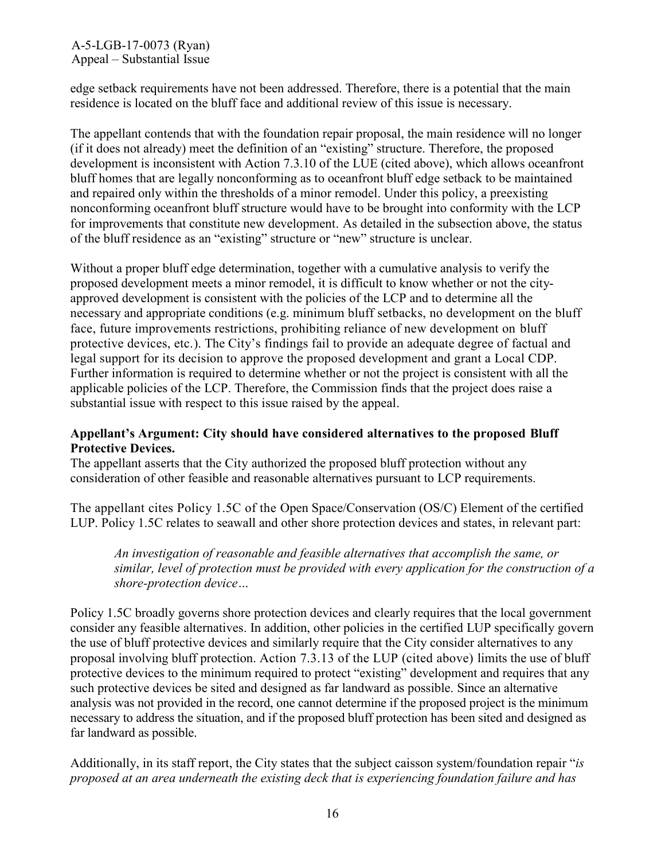edge setback requirements have not been addressed. Therefore, there is a potential that the main residence is located on the bluff face and additional review of this issue is necessary.

The appellant contends that with the foundation repair proposal, the main residence will no longer (if it does not already) meet the definition of an "existing" structure. Therefore, the proposed development is inconsistent with Action 7.3.10 of the LUE (cited above), which allows oceanfront bluff homes that are legally nonconforming as to oceanfront bluff edge setback to be maintained and repaired only within the thresholds of a minor remodel. Under this policy, a preexisting nonconforming oceanfront bluff structure would have to be brought into conformity with the LCP for improvements that constitute new development. As detailed in the subsection above, the status of the bluff residence as an "existing" structure or "new" structure is unclear.

Without a proper bluff edge determination, together with a cumulative analysis to verify the proposed development meets a minor remodel, it is difficult to know whether or not the cityapproved development is consistent with the policies of the LCP and to determine all the necessary and appropriate conditions (e.g. minimum bluff setbacks, no development on the bluff face, future improvements restrictions, prohibiting reliance of new development on bluff protective devices, etc.). The City's findings fail to provide an adequate degree of factual and legal support for its decision to approve the proposed development and grant a Local CDP. Further information is required to determine whether or not the project is consistent with all the applicable policies of the LCP. Therefore, the Commission finds that the project does raise a substantial issue with respect to this issue raised by the appeal.

#### **Appellant's Argument: City should have considered alternatives to the proposed Bluff Protective Devices.**

The appellant asserts that the City authorized the proposed bluff protection without any consideration of other feasible and reasonable alternatives pursuant to LCP requirements.

The appellant cites Policy 1.5C of the Open Space/Conservation (OS/C) Element of the certified LUP. Policy 1.5C relates to seawall and other shore protection devices and states, in relevant part:

*An investigation of reasonable and feasible alternatives that accomplish the same, or similar, level of protection must be provided with every application for the construction of a shore-protection device…*

Policy 1.5C broadly governs shore protection devices and clearly requires that the local government consider any feasible alternatives. In addition, other policies in the certified LUP specifically govern the use of bluff protective devices and similarly require that the City consider alternatives to any proposal involving bluff protection. Action 7.3.13 of the LUP (cited above) limits the use of bluff protective devices to the minimum required to protect "existing" development and requires that any such protective devices be sited and designed as far landward as possible. Since an alternative analysis was not provided in the record, one cannot determine if the proposed project is the minimum necessary to address the situation, and if the proposed bluff protection has been sited and designed as far landward as possible.

Additionally, in its staff report, the City states that the subject caisson system/foundation repair "*is proposed at an area underneath the existing deck that is experiencing foundation failure and has*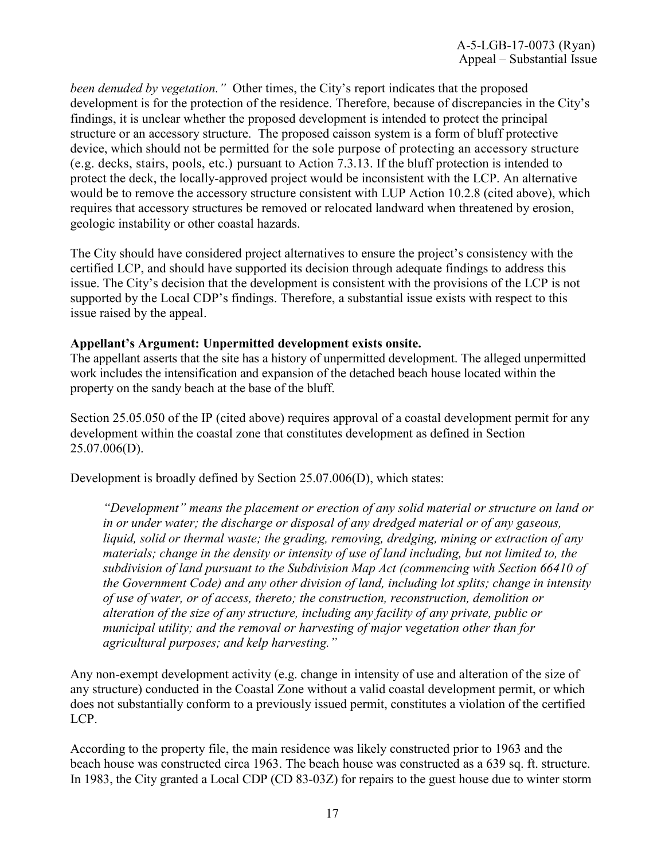*been denuded by vegetation."* Other times, the City's report indicates that the proposed development is for the protection of the residence. Therefore, because of discrepancies in the City's findings, it is unclear whether the proposed development is intended to protect the principal structure or an accessory structure. The proposed caisson system is a form of bluff protective device, which should not be permitted for the sole purpose of protecting an accessory structure (e.g. decks, stairs, pools, etc.) pursuant to Action 7.3.13. If the bluff protection is intended to protect the deck, the locally-approved project would be inconsistent with the LCP. An alternative would be to remove the accessory structure consistent with LUP Action 10.2.8 (cited above), which requires that accessory structures be removed or relocated landward when threatened by erosion, geologic instability or other coastal hazards.

The City should have considered project alternatives to ensure the project's consistency with the certified LCP, and should have supported its decision through adequate findings to address this issue. The City's decision that the development is consistent with the provisions of the LCP is not supported by the Local CDP's findings. Therefore, a substantial issue exists with respect to this issue raised by the appeal.

#### **Appellant's Argument: Unpermitted development exists onsite.**

The appellant asserts that the site has a history of unpermitted development. The alleged unpermitted work includes the intensification and expansion of the detached beach house located within the property on the sandy beach at the base of the bluff.

Section 25.05.050 of the IP (cited above) requires approval of a coastal development permit for any development within the coastal zone that constitutes development as defined in Section 25.07.006(D).

Development is broadly defined by Section 25.07.006(D), which states:

*"Development" means the placement or erection of any solid material or structure on land or in or under water; the discharge or disposal of any dredged material or of any gaseous, liquid, solid or thermal waste; the grading, removing, dredging, mining or extraction of any materials; change in the density or intensity of use of land including, but not limited to, the subdivision of land pursuant to the Subdivision Map Act (commencing with Section 66410 of the Government Code) and any other division of land, including lot splits; change in intensity of use of water, or of access, thereto; the construction, reconstruction, demolition or alteration of the size of any structure, including any facility of any private, public or municipal utility; and the removal or harvesting of major vegetation other than for agricultural purposes; and kelp harvesting."* 

Any non-exempt development activity (e.g. change in intensity of use and alteration of the size of any structure) conducted in the Coastal Zone without a valid coastal development permit, or which does not substantially conform to a previously issued permit, constitutes a violation of the certified LCP.

According to the property file, the main residence was likely constructed prior to 1963 and the beach house was constructed circa 1963. The beach house was constructed as a 639 sq. ft. structure. In 1983, the City granted a Local CDP (CD 83-03Z) for repairs to the guest house due to winter storm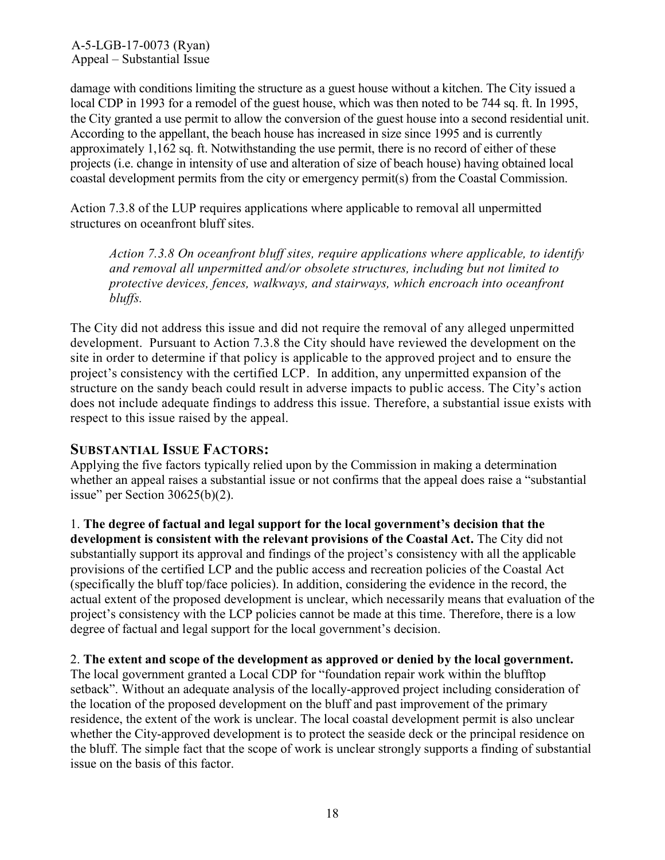damage with conditions limiting the structure as a guest house without a kitchen. The City issued a local CDP in 1993 for a remodel of the guest house, which was then noted to be 744 sq. ft. In 1995, the City granted a use permit to allow the conversion of the guest house into a second residential unit. According to the appellant, the beach house has increased in size since 1995 and is currently approximately 1,162 sq. ft. Notwithstanding the use permit, there is no record of either of these projects (i.e. change in intensity of use and alteration of size of beach house) having obtained local coastal development permits from the city or emergency permit(s) from the Coastal Commission.

Action 7.3.8 of the LUP requires applications where applicable to removal all unpermitted structures on oceanfront bluff sites.

*Action 7.3.8 On oceanfront bluff sites, require applications where applicable, to identify and removal all unpermitted and/or obsolete structures, including but not limited to protective devices, fences, walkways, and stairways, which encroach into oceanfront bluffs.* 

The City did not address this issue and did not require the removal of any alleged unpermitted development. Pursuant to Action 7.3.8 the City should have reviewed the development on the site in order to determine if that policy is applicable to the approved project and to ensure the project's consistency with the certified LCP. In addition, any unpermitted expansion of the structure on the sandy beach could result in adverse impacts to public access. The City's action does not include adequate findings to address this issue. Therefore, a substantial issue exists with respect to this issue raised by the appeal.

## **SUBSTANTIAL ISSUE FACTORS:**

Applying the five factors typically relied upon by the Commission in making a determination whether an appeal raises a substantial issue or not confirms that the appeal does raise a "substantial issue" per Section 30625(b)(2).

1. **The degree of factual and legal support for the local government's decision that the development is consistent with the relevant provisions of the Coastal Act.** The City did not substantially support its approval and findings of the project's consistency with all the applicable provisions of the certified LCP and the public access and recreation policies of the Coastal Act (specifically the bluff top/face policies). In addition, considering the evidence in the record, the actual extent of the proposed development is unclear, which necessarily means that evaluation of the project's consistency with the LCP policies cannot be made at this time. Therefore, there is a low degree of factual and legal support for the local government's decision.

#### 2. **The extent and scope of the development as approved or denied by the local government.**

The local government granted a Local CDP for "foundation repair work within the blufftop setback". Without an adequate analysis of the locally-approved project including consideration of the location of the proposed development on the bluff and past improvement of the primary residence, the extent of the work is unclear. The local coastal development permit is also unclear whether the City-approved development is to protect the seaside deck or the principal residence on the bluff. The simple fact that the scope of work is unclear strongly supports a finding of substantial issue on the basis of this factor.